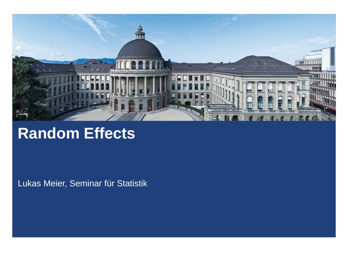

## **Random Effects**

Lukas Meier, Seminar für Statistik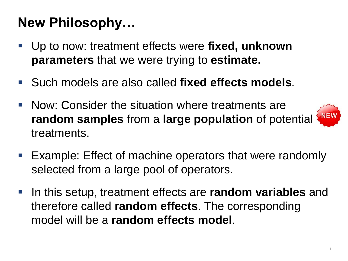# **New Philosophy…**

- Up to now: treatment effects were fi**xed, unknown parameters** that we were trying to **estimate.**
- Such models are also called **fixed effects models**.
- **Now: Consider the situation where treatments are random samples** from a **large population** of potential treatments.



- Example: Effect of machine operators that were randomly selected from a large pool of operators.
- In this setup, treatment effects are **random variables** and therefore called **random effects**. The corresponding model will be a **random effects model**.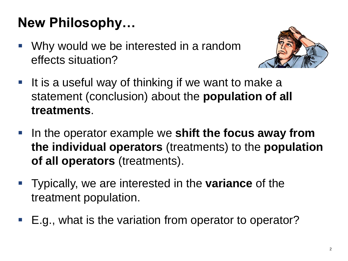# **New Philosophy…**

■ Why would we be interested in a random effects situation?



- It is a useful way of thinking if we want to make a statement (conclusion) about the **population of all treatments**.
- **IF In the operator example we shift the focus away from the individual operators** (treatments) to the **population of all operators** (treatments).
- Typically, we are interested in the **variance** of the treatment population.
- E.g., what is the variation from operator to operator?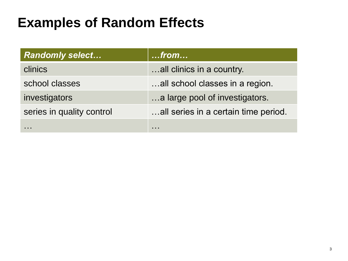#### **Examples of Random Effects**

| <b>Randomly select</b>    | $$ from $$                           |
|---------------------------|--------------------------------------|
| clinics                   | all clinics in a country.            |
| school classes            | all school classes in a region.      |
| investigators             | a large pool of investigators.       |
| series in quality control | all series in a certain time period. |
|                           |                                      |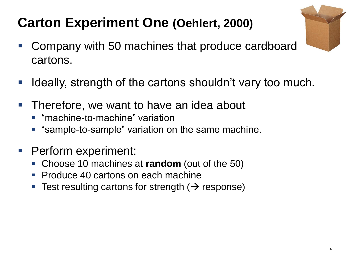- 
- Company with 50 machines that produce cardboard cartons.
- **If Ideally, strength of the cartons shouldn't vary too much.**
- **Therefore, we want to have an idea about** 
	- "machine-to-machine" variation
	- **Sample-to-sample**" variation on the same machine.
- Perform experiment:
	- Choose 10 machines at **random** (out of the 50)
	- Produce 40 cartons on each machine
	- **Test resulting cartons for strength (** $\rightarrow$  **response)**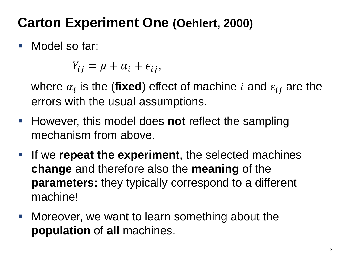■ Model so far:

 $Y_{ij} = \mu + \alpha_i + \epsilon_{ij},$ 

where  $\alpha_i$  is the (fixed) effect of machine  $i$  and  $\varepsilon_{ij}$  are the errors with the usual assumptions.

- **However, this model does not reflect the sampling** mechanism from above.
- **If we repeat the experiment**, the selected machines **change** and therefore also the **meaning** of the **parameters:** they typically correspond to a different machine!
- Moreover, we want to learn something about the **population** of **all** machines.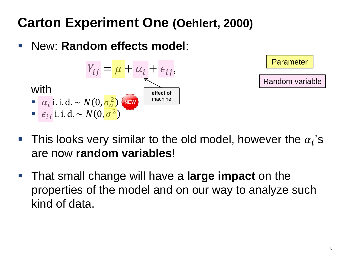New: **Random effects model**:





**Parameter** 

- **This looks very similar to the old model, however the**  $\alpha_i$ **'s** are now **random variables**!
- That small change will have a **large impact** on the properties of the model and on our way to analyze such kind of data.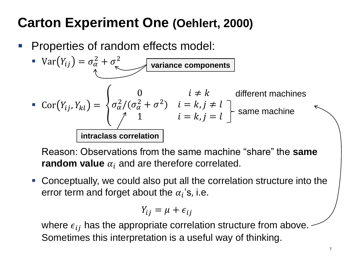Properties of random effects model:

\n- \n
$$
\text{Var}(Y_{ij}) = \sigma_{\alpha}^{2} + \sigma_{\epsilon}^{2}
$$
\n
\n- \n
$$
\text{Var}(Y_{ij}, Y_{kl}) =\n \begin{cases}\n 0 & i \neq k \\
\sigma_{\alpha}^{2} / (\sigma_{\alpha}^{2} + \sigma^{2}) & i = k, j \neq l \\
1 & i = k, j = l\n \end{cases}
$$
\n The same machine is  $i = k, j = l$  is the same machine.\n
\n

Reason: Observations from the same machine "share" the **same random value**  $\alpha_i$  and are therefore correlated.

 Conceptually, we could also put all the correlation structure into the error term and forget about the  $\alpha_i$ 's, i.e.

$$
Y_{ij} = \mu + \epsilon_{ij}
$$

where  $\epsilon_{ij}$  has the appropriate correlation structure from above. Sometimes this interpretation is a useful way of thinking.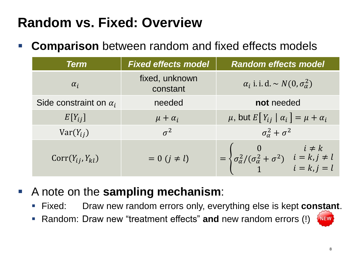## **Random vs. Fixed: Overview**

**Comparison** between random and fixed effects models

| <b>Term</b>                   | <b>Fixed effects model</b> | <b>Random effects model</b>                                                                                                                |
|-------------------------------|----------------------------|--------------------------------------------------------------------------------------------------------------------------------------------|
| $\alpha_i$                    | fixed, unknown<br>constant | $\alpha_i$ i. i. d. $\sim N(0, \sigma_\alpha^2)$                                                                                           |
| Side constraint on $\alpha_i$ | needed                     | not needed                                                                                                                                 |
| $E[Y_{ij}]$                   | $\mu + \alpha_i$           | $\mu$ , but $E[Y_{ij}   \alpha_i] = \mu + \alpha_i$                                                                                        |
| $Var(Y_{ii})$                 | $\sigma^2$                 | $\sigma_{\alpha}^2 + \sigma^2$                                                                                                             |
| $Corr(Y_{ij}, Y_{kl})$        | $= 0$ $(j \neq l)$         | $= \begin{cases} 0 & i \neq k \\ \sigma_{\alpha}^{2}/(\sigma_{\alpha}^{2} + \sigma^{2}) & i = k, j \neq l \\ 1 & i = k, j = l \end{cases}$ |

- A note on the **sampling mechanism**:
	- Fixed: Draw new random errors only, everything else is kept **constant**.
	- Random: Draw new "treatment effects" **and** new random errors (!)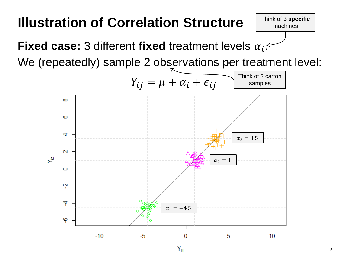#### **Illustration of Correlation Structure**

**Fixed case:** 3 different fixed treatment levels  $\alpha_i$ :

We (repeatedly) sample 2 observations per treatment level:

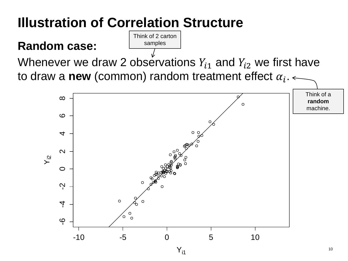## **Illustration of Correlation Structure**

#### **Random case:**

Whenever we draw 2 observations  $Y_{i1}$  and  $Y_{i2}$  we first have to draw a new (common) random treatment effect  $\alpha_i$ .

Think of 2 carton samples

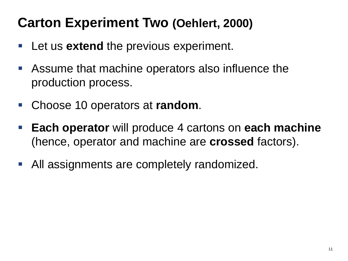- **E** Let us **extend** the previous experiment.
- Assume that machine operators also influence the production process.
- Choose 10 operators at **random**.
- **Each operator** will produce 4 cartons on **each machine**  (hence, operator and machine are **crossed** factors).
- All assignments are completely randomized.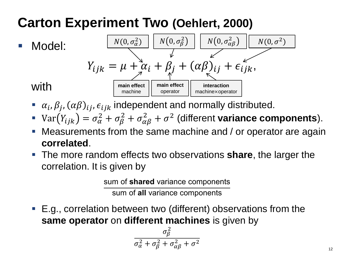

- $\alpha_i, \beta_j, (\alpha \beta)_{ij}, \epsilon_{ijk}$  independent and normally distributed.
- Var $(Y_{ijk}) = \sigma_{\alpha}^2 + \sigma_{\beta}^2 + \sigma_{\alpha\beta}^2 + \sigma^2$  (different **variance components**).
- Measurements from the same machine and / or operator are again **correlated**.
- The more random effects two observations **share**, the larger the correlation. It is given by

sum of **shared** variance components

sum of **all** variance components

■ E.g., correlation between two (different) observations from the **same operator** on **different machines** is given by

$$
\frac{\sigma_{\beta}^2}{\sigma_{\alpha}^2 + \sigma_{\beta}^2 + \sigma_{\alpha\beta}^2 + \sigma^2}
$$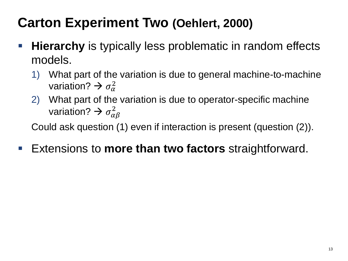- **Hierarchy** is typically less problematic in random effects models.
	- 1) What part of the variation is due to general machine-to-machine variation?  $\rightarrow \sigma_{\alpha}^2$
	- 2) What part of the variation is due to operator-specific machine variation?  $\rightarrow \sigma^2_{\alpha\beta}$

Could ask question (1) even if interaction is present (question (2)).

■ Extensions to **more than two factors** straightforward.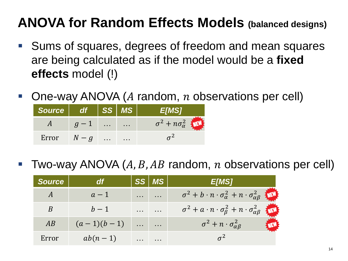#### **ANOVA for Random Effects Models (balanced designs)**

- Sums of squares, degrees of freedom and mean squares are being calculated as if the model would be a **fixed effects** model (!)
- One-way ANOVA ( $A$  random,  $n$  observations per cell)

| Source | df /    | SS                   | <b>MS</b> |                                 |
|--------|---------|----------------------|-----------|---------------------------------|
|        |         | $\cdots$             | $\sim$    | $\sigma^2 + n\sigma_{\alpha}^2$ |
| Error  | $N - q$ | $\sim$ $\sim$ $\sim$ | $\cdots$  |                                 |

Two-way ANOVA  $(A, B, AB$  random, n observations per cell)

| <b>Source</b> | <b>df</b>    |               | $ SS $ MS $ $        | <b>E[MS]</b>                                                                   |
|---------------|--------------|---------------|----------------------|--------------------------------------------------------------------------------|
|               | $a-1$        | $\sim$ $\sim$ | $\cdots$             | $\sigma^2 + b \cdot n \cdot \sigma_{\alpha}^2 + n \cdot \sigma_{\alpha}^2$     |
|               | $b-1$        | .             | .                    | $\sigma^2 + a \cdot n \cdot \sigma_{\beta}^2 + n \cdot \sigma_{\alpha\beta}^2$ |
| AB            | $(a-1)(b-1)$ | $\sim$ $\sim$ | $\sim$ $\sim$ $\sim$ | $\sigma^2 + n \cdot \sigma_{\alpha\beta}^2$                                    |
| Error         | $ab(n-1)$    |               |                      |                                                                                |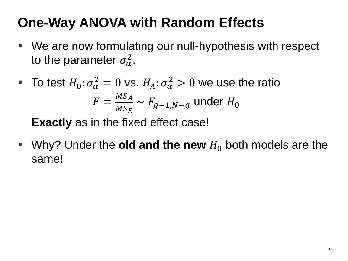## **One-Way ANOVA with Random Effects**

- We are now formulating our null-hypothesis with respect to the parameter  $\sigma_{\alpha}^2$ .
- To test  $H_0: \sigma_{\alpha}^2 = 0$  vs.  $H_A: \sigma_{\alpha}^2 > 0$  we use the ratio  $F =$  $MS_A$  $MS_E$  $\sim F_{g-1,N-g}$  under  $H_0$

**Exactly** as in the fixed effect case!

Why? Under the **old and the new**  $H_0$  both models are the same!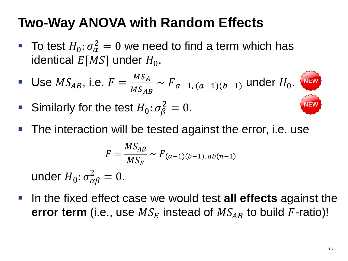## **Two-Way ANOVA with Random Effects**

- To test  $H_0: \sigma_{\alpha}^2 = 0$  we need to find a term which has identical  $E[MS]$  under  $H_0$ .
- Use  $MS_{AB}$ , i.e.  $F =$  $MS_A$  $MS_{AB}$  $\sim F_{a-1, (a-1)(b-1)}$  under  $H_0$ .
- Similarly for the test  $H_0: \sigma_\beta^2 = 0$ .
- The interaction will be tested against the error, i.e. use

$$
F = \frac{MS_{AB}}{MS_E} \sim F_{(a-1)(b-1), ab(n-1)}
$$
  
under  $H_0: \sigma_{\alpha\beta}^2 = 0$ .

 In the fixed effect case we would test **all effects** against the **error term** (i.e., use  $MS_E$  instead of  $MS_{AB}$  to build F-ratio)!

**NEW**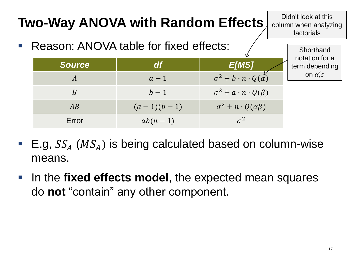

- E.g,  $SS<sub>A</sub>$  ( $MS<sub>A</sub>$ ) is being calculated based on column-wise means.
- **IF In the fixed effects model, the expected mean squares** do **not** "contain" any other component.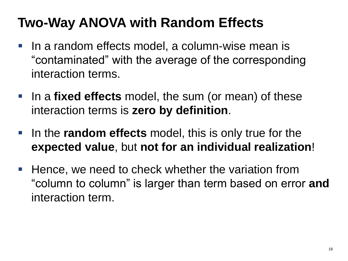## **Two-Way ANOVA with Random Effects**

- In a random effects model, a column-wise mean is "contaminated" with the average of the corresponding interaction terms.
- **IF In a fixed effects** model, the sum (or mean) of these interaction terms is **zero by definition**.
- **IF In the random effects** model, this is only true for the **expected value**, but **not for an individual realization**!
- $\blacksquare$  Hence, we need to check whether the variation from "column to column" is larger than term based on error **and** interaction term.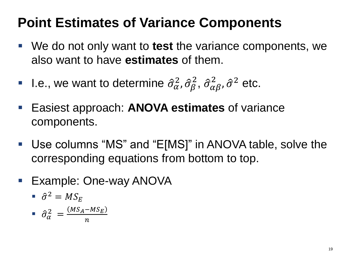#### **Point Estimates of Variance Components**

- We do not only want to **test** the variance components, we also want to have **estimates** of them.
- **I.e., we want to determine**  $\hat{\sigma}_{\alpha}^2$  $_{\alpha}^{2}$ ,  $\hat{\sigma}_{\beta}^{2}$ ,  $\hat{\sigma}_{\alpha\beta}^{2}$  $\frac{2}{\alpha \beta}$ ,  $\hat{\sigma}^2$  etc.
- Easiest approach: **ANOVA estimates** of variance components.
- Use columns "MS" and "E[MS]" in ANOVA table, solve the corresponding equations from bottom to top.
- **Example: One-way ANOVA**

$$
\bullet \ \hat{\sigma}^2 = MS_E
$$

$$
\bullet \quad \hat{\sigma}_{\alpha}^{2} = \frac{(MS_A - MS_E)}{n}
$$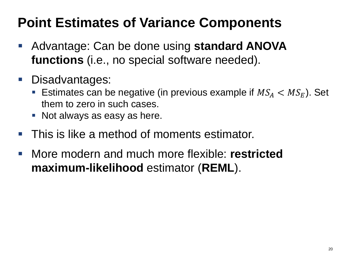#### **Point Estimates of Variance Components**

- Advantage: Can be done using **standard ANOVA functions** (i.e., no special software needed).
- Disadvantages:
	- **Estimates can be negative (in previous example if**  $MS_A < MS_E$ **). Set** them to zero in such cases.
	- **Not always as easy as here.**
- This is like a method of moments estimator.
- More modern and much more flexible: **restricted maximum-likelihood** estimator (**REML**).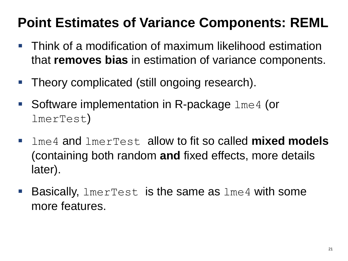## **Point Estimates of Variance Components: REML**

- Think of a modification of maximum likelihood estimation that **removes bias** in estimation of variance components.
- **Theory complicated (still ongoing research).**
- Software implementation in R-package  $\text{Im}e_4$  (or lmerTest)
- lme4 and lmerTest allow to fit so called **mixed models**  (containing both random **and** fixed effects, more details later).
- **Basically,**  $l$ **merTest is the same as**  $l$ **me4 with some** more features.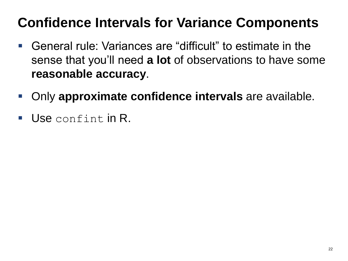## **Confidence Intervals for Variance Components**

- General rule: Variances are "difficult" to estimate in the sense that you'll need **a lot** of observations to have some **reasonable accuracy**.
- **-** Only **approximate confidence intervals** are available.
- $\blacksquare$  Use confint in R.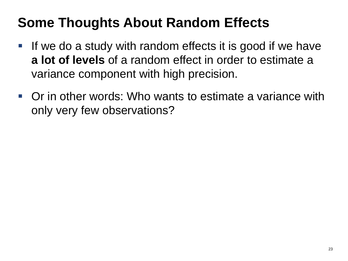## **Some Thoughts About Random Effects**

- If we do a study with random effects it is good if we have **a lot of levels** of a random effect in order to estimate a variance component with high precision.
- Or in other words: Who wants to estimate a variance with only very few observations?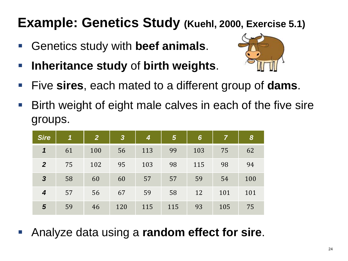#### **Example: Genetics Study (Kuehl, 2000, Exercise 5.1)**

- Genetics study with **beef animals**.
- **Inheritance study** of **birth weights**.



- Five **sires**, each mated to a different group of **dams**.
- Birth weight of eight male calves in each of the five sire groups.

| <b>Sire</b>                | $\boldsymbol{1}$ | $\overline{2}$ | $\boldsymbol{3}$ | 4   | $5\phantom{1}$ | $6\phantom{1}6$ | 7   | 8   |
|----------------------------|------------------|----------------|------------------|-----|----------------|-----------------|-----|-----|
| $\boldsymbol{\mathcal{L}}$ | 61               | 100            | 56               | 113 | 99             | 103             | 75  | 62  |
| $\overline{2}$             | 75               | 102            | 95               | 103 | 98             | 115             | 98  | 94  |
| $\overline{\mathbf{3}}$    | 58               | 60             | 60               | 57  | 57             | 59              | 54  | 100 |
| 4                          | 57               | 56             | 67               | 59  | 58             | 12              | 101 | 101 |
| $5\phantom{1}$             | 59               | 46             | 120              | 115 | 115            | 93              | 105 | 75  |

Analyze data using a **random effect for sire**.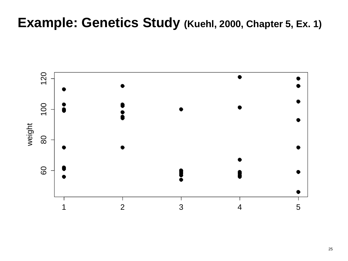#### **Example: Genetics Study (Kuehl, 2000, Chapter 5, Ex. 1)**

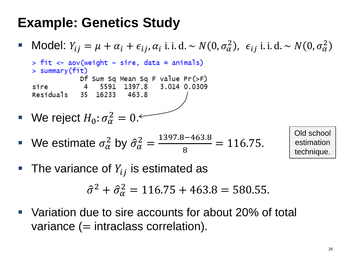#### **Example: Genetics Study**

■ Model:  $Y_{ij} = \mu + \alpha_i + \epsilon_{ij}, \alpha_i$  i. i. d. ~  $N(0, \sigma_{\alpha}^2)$ ,  $\epsilon_{ij}$  i. i. d. ~  $N(0, \sigma_{\alpha}^2)$ 

 $>$  fit  $\lt$ - aov(weight  $\sim$  sire, data = animals)  $>$  summary (fit) Df Sum Sq Mean Sq F value Pr(>F) 5591 1397.8 3.014 0.0309 sire  $\sim$  4 Residuals 35 16233 463.8

We reject 
$$
H_0: \sigma_\alpha^2 = 0
$$

• We estimate 
$$
\sigma_{\alpha}^2
$$
 by  $\hat{\sigma}_{\alpha}^2 = \frac{1397.8 - 463.8}{8} = 116.75$ .

Old school estimation technique.

• The variance of  $Y_{ij}$  is estimated as

 $\hat{\sigma}^2 + \hat{\sigma}_\alpha^2 = 116.75 + 463.8 = 580.55.$ 

 Variation due to sire accounts for about 20% of total variance  $(=$  intraclass correlation).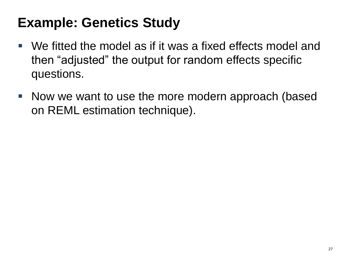#### **Example: Genetics Study**

- We fitted the model as if it was a fixed effects model and then "adjusted" the output for random effects specific questions.
- Now we want to use the more modern approach (based on REML estimation technique).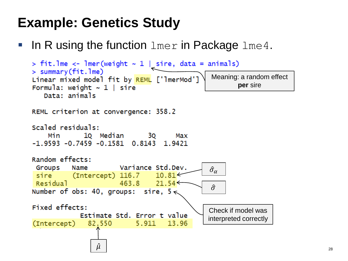#### **Example: Genetics Study**

In R using the function  $l$ mer in Package  $l$ me4.

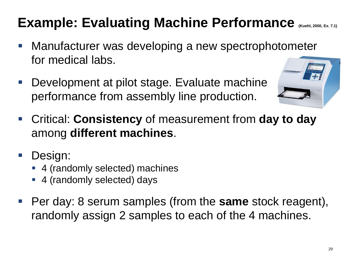## **Example: Evaluating Machine Performance** *(Kuehl, 2000, Ex. 7.1)*

- **Manufacturer was developing a new spectrophotometer** for medical labs.
- Development at pilot stage. Evaluate machine performance from assembly line production.



- Critical: **Consistency** of measurement from **day to day**  among **different machines**.
- **Design:** 
	- 4 (randomly selected) machines
	- 4 (randomly selected) days
- Per day: 8 serum samples (from the **same** stock reagent), randomly assign 2 samples to each of the 4 machines.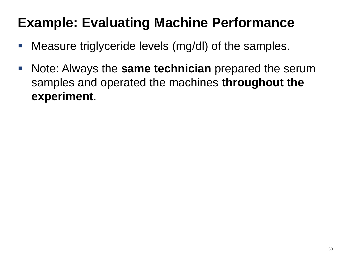- **Measure triglyceride levels (mg/dl) of the samples.**
- **Note: Always the same technician** prepared the serum samples and operated the machines **throughout the experiment**.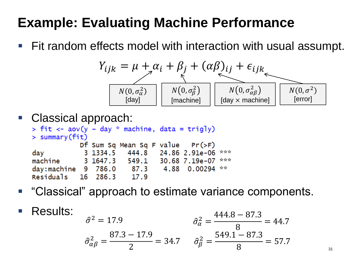■ Fit random effects model with interaction with usual assumpt.

$$
Y_{ijk} = \mu + \alpha_i + \beta_j + (\alpha \beta)_{ij} + \epsilon_{ijk}
$$
  
\n
$$
N(0, \sigma_{\alpha}^2)
$$
\n
$$
N(0, \sigma_{\beta}^2)
$$
\n
$$
N(0, \sigma_{\beta}^2)
$$
\n
$$
N(0, \sigma_{\alpha\beta}^2)
$$
\n
$$
N(0, \sigma_{\alpha\beta}^2)
$$
\n
$$
N(0, \sigma_{\alpha\beta}^2)
$$
\n
$$
N(0, \sigma_{\alpha\beta}^2)
$$
\n
$$
N(0, \sigma_{\alpha\beta}^2)
$$
\n
$$
N(0, \sigma_{\alpha\beta}^2)
$$
\n
$$
N(0, \sigma_{\alpha\beta}^2)
$$
\n
$$
N(0, \sigma_{\alpha\beta}^2)
$$
\n
$$
N(0, \sigma_{\alpha\beta}^2)
$$
\n
$$
N(0, \sigma_{\alpha\beta}^2)
$$
\n
$$
N(0, \sigma_{\alpha\beta}^2)
$$
\n
$$
N(0, \sigma_{\alpha\beta}^2)
$$
\n
$$
N(0, \sigma_{\alpha\beta}^2)
$$

```
Classical approach:<br>> fit <- aov(y < day * machine, data = trigly)
  > summary(fit)Df Sum Sq Mean Sq F value Pr(>F)
  day 3 1334.5 444.8 24.86 2.91e-06 ***<br>machine 3 1647.3 549.1 30.68 7.19e-07 ***
   day:machine 9 786.0 87.3 4.88 0.00294 **
  Residuals 16 286.3 17.9
```
- "Classical" approach to estimate variance components.
- Results:  $\hat{\sigma}^2 = 17.9$  $\hat{\sigma}_{\alpha\beta}^2 =$ 87.3 − 17.9 2  $= 34.7$   $\hat{\sigma}_{\beta}^{2} =$  $\hat{\sigma}_{\alpha}^2 =$ 444.8 − 87.3 8  $= 44.7$  $549.1 - 87.3$ 8  $= 57.7$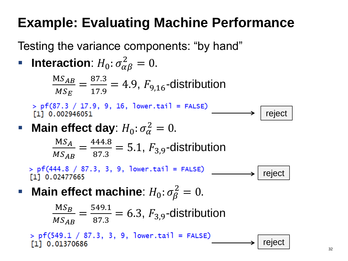Testing the variance components: "by hand"

• **Interaction**: 
$$
H_0
$$
:  $\sigma_{\alpha\beta}^2 = 0$ .

 $MS_{AB}$  $MS_E$ = 87.3  $\frac{67.5}{17.9}$  = 4.9,  $F_{9,16}$ -distribution

 $>$  pf(87.3 / 17.9, 9, 16, lower.tail = FALSE) [1] 0.002946051

$$
\blacktriangleright \mid \text{reject}
$$

**Main effect day**:  $H_0: \sigma_{\alpha}^2 = 0$ .

 $MS<sub>A</sub>$  $MS_{AB}$ = 444.8  $\frac{F44.6}{87.3}$  = 5.1,  $F_{3,9}$ -distribution

 $>$  pf(444.8 / 87.3, 3, 9, lower.tail = FALSE) [1] 0.02477665



**Main effect machine**:  $H_0: \sigma_\beta^2 = 0$ .

 $MS_B$  $MS_{AB}$ = 549.1  $\frac{649.1}{87.3}$  = 6.3,  $F_{3,9}$ -distribution

 $>$  pf(549.1 / 87.3, 3, 9, lower.tail = FALSE) reject[1] 0.01370686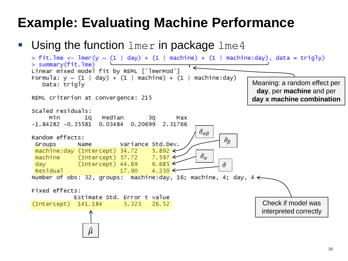